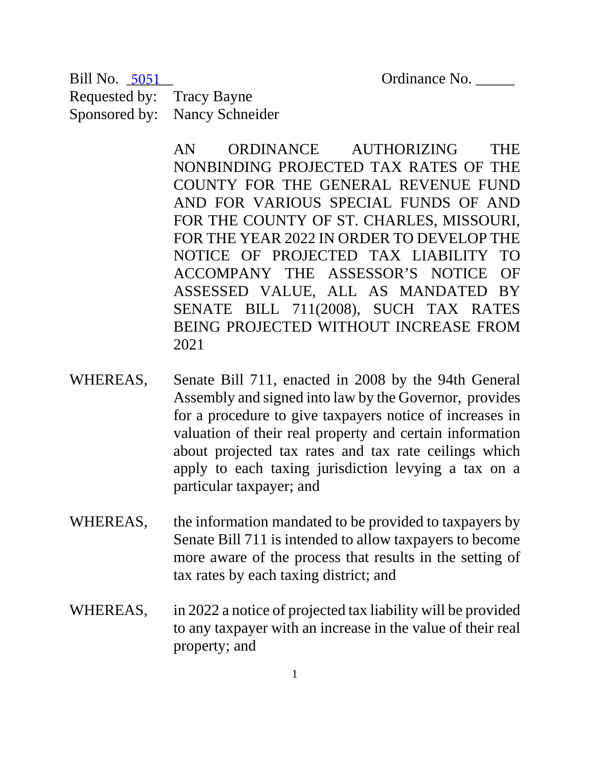Ordinance No.

Requested by: Tracy Bayne Sponsored by: Nancy Schneider Bill No. 5051

> AN ORDINANCE AUTHORIZING THE NONBINDING PROJECTED TAX RATES OF THE COUNTY FOR THE GENERAL REVENUE FUND AND FOR VARIOUS SPECIAL FUNDS OF AND FOR THE COUNTY OF ST. CHARLES, MISSOURI, FOR THE YEAR 2022 IN ORDER TO DEVELOP THE NOTICE OF PROJECTED TAX LIABILITY TO ACCOMPANY THE ASSESSOR'S NOTICE OF ASSESSED VALUE, ALL AS MANDATED BY SENATE BILL 711(2008), SUCH TAX RATES BEING PROJECTED WITHOUT INCREASE FROM 2021

- WHEREAS, Senate Bill 711, enacted in 2008 by the 94th General Assembly and signed into law by the Governor, provides for a procedure to give taxpayers notice of increases in valuation of their real property and certain information about projected tax rates and tax rate ceilings which apply to each taxing jurisdiction levying a tax on a particular taxpayer; and
- WHEREAS, the information mandated to be provided to taxpayers by Senate Bill 711 is intended to allow taxpayers to become more aware of the process that results in the setting of tax rates by each taxing district; and
- WHEREAS, in 2022 a notice of projected tax liability will be provided to any taxpayer with an increase in the value of their real property; and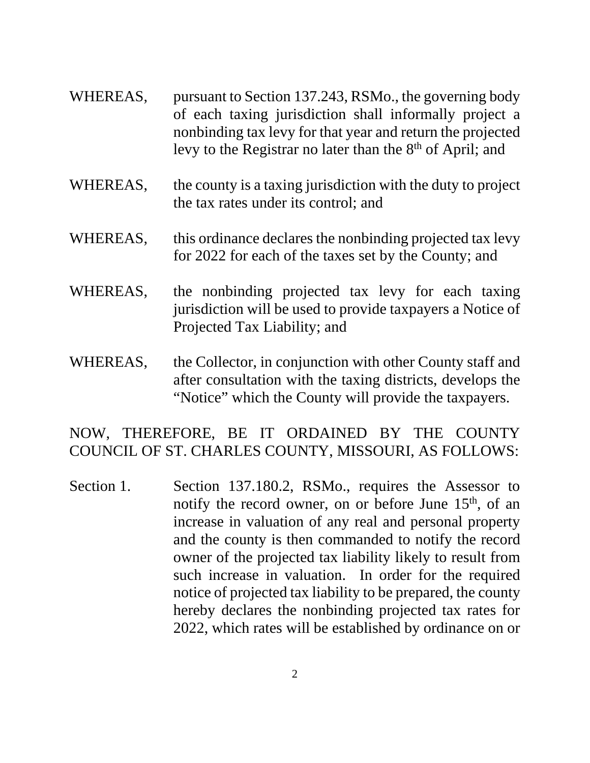- WHEREAS, pursuant to Section 137.243, RSMo., the governing body of each taxing jurisdiction shall informally project a nonbinding tax levy for that year and return the projected levy to the Registrar no later than the  $8<sup>th</sup>$  of April; and
- WHEREAS, the county is a taxing jurisdiction with the duty to project the tax rates under its control; and
- WHEREAS, this ordinance declares the nonbinding projected tax levy for 2022 for each of the taxes set by the County; and
- WHEREAS, the nonbinding projected tax levy for each taxing jurisdiction will be used to provide taxpayers a Notice of Projected Tax Liability; and
- WHEREAS, the Collector, in conjunction with other County staff and after consultation with the taxing districts, develops the "Notice" which the County will provide the taxpayers.

## NOW, THEREFORE, BE IT ORDAINED BY THE COUNTY COUNCIL OF ST. CHARLES COUNTY, MISSOURI, AS FOLLOWS:

Section 1. Section 137.180.2, RSMo., requires the Assessor to notify the record owner, on or before June  $15<sup>th</sup>$ , of an increase in valuation of any real and personal property and the county is then commanded to notify the record owner of the projected tax liability likely to result from such increase in valuation. In order for the required notice of projected tax liability to be prepared, the county hereby declares the nonbinding projected tax rates for 2022, which rates will be established by ordinance on or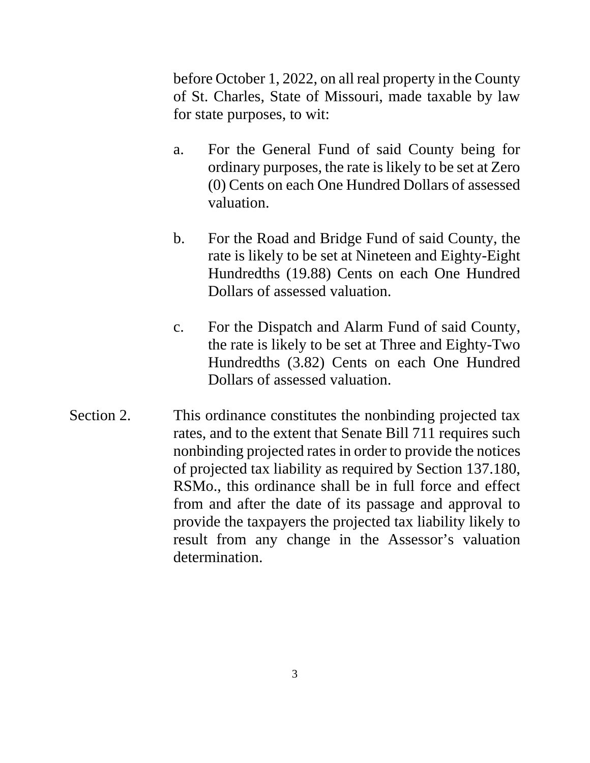before October 1, 2022, on all real property in the County of St. Charles, State of Missouri, made taxable by law for state purposes, to wit:

- a. For the General Fund of said County being for ordinary purposes, the rate is likely to be set at Zero (0) Cents on each One Hundred Dollars of assessed valuation.
- b. For the Road and Bridge Fund of said County, the rate is likely to be set at Nineteen and Eighty-Eight Hundredths (19.88) Cents on each One Hundred Dollars of assessed valuation.
- c. For the Dispatch and Alarm Fund of said County, the rate is likely to be set at Three and Eighty-Two Hundredths (3.82) Cents on each One Hundred Dollars of assessed valuation.
- Section 2. This ordinance constitutes the nonbinding projected tax rates, and to the extent that Senate Bill 711 requires such nonbinding projected rates in order to provide the notices of projected tax liability as required by Section 137.180, RSMo., this ordinance shall be in full force and effect from and after the date of its passage and approval to provide the taxpayers the projected tax liability likely to result from any change in the Assessor's valuation determination.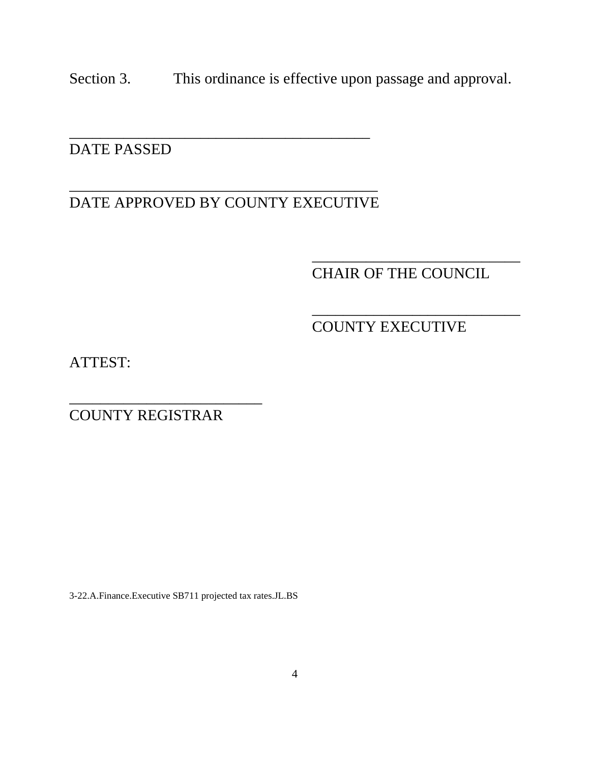Section 3. This ordinance is effective upon passage and approval.

## DATE PASSED

#### \_\_\_\_\_\_\_\_\_\_\_\_\_\_\_\_\_\_\_\_\_\_\_\_\_\_\_\_\_\_\_\_\_\_\_\_\_\_\_\_ DATE APPROVED BY COUNTY EXECUTIVE

\_\_\_\_\_\_\_\_\_\_\_\_\_\_\_\_\_\_\_\_\_\_\_\_\_\_\_\_\_\_\_\_\_\_\_\_\_\_\_

# CHAIR OF THE COUNCIL

\_\_\_\_\_\_\_\_\_\_\_\_\_\_\_\_\_\_\_\_\_\_\_\_\_\_\_

\_\_\_\_\_\_\_\_\_\_\_\_\_\_\_\_\_\_\_\_\_\_\_\_\_\_\_

## COUNTY EXECUTIVE

ATTEST:

COUNTY REGISTRAR

\_\_\_\_\_\_\_\_\_\_\_\_\_\_\_\_\_\_\_\_\_\_\_\_\_

3-22.A.Finance.Executive SB711 projected tax rates.JL.BS